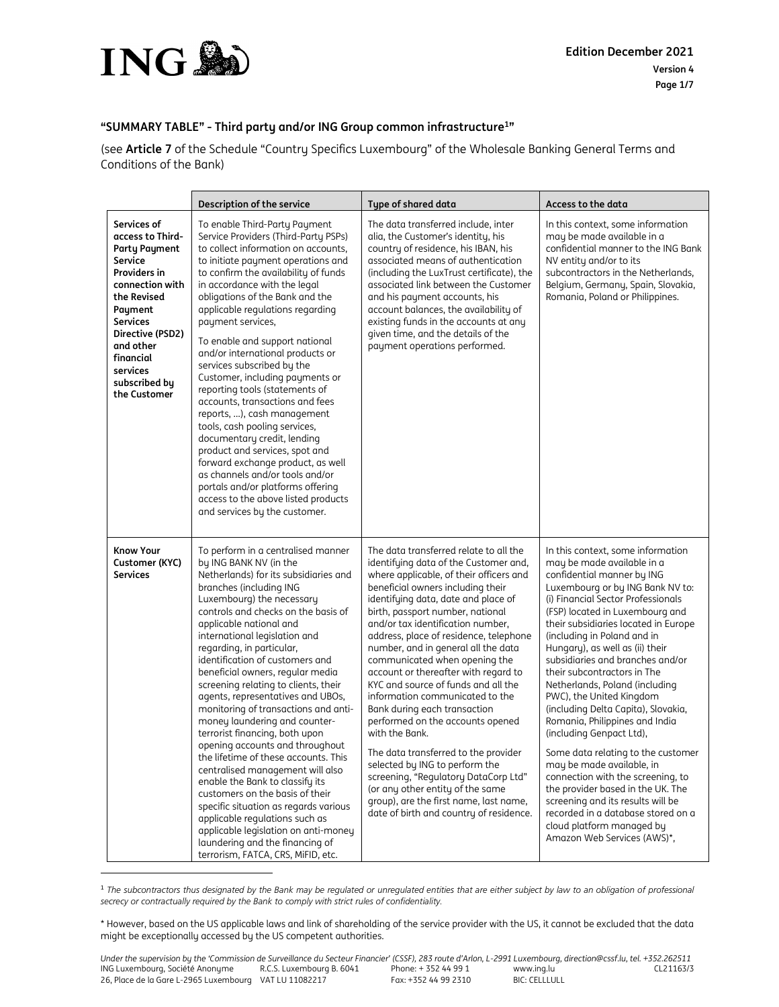

 $\overline{a}$ 

## **"SUMMARY TABLE" - Third party and/or ING Group common infrastructure<sup>1</sup> "**

(see **Article 7** of the Schedule "Country Specifics Luxembourg" of the Wholesale Banking General Terms and Conditions of the Bank)

|                                                                                                                                                                                                                                                      | Description of the service                                                                                                                                                                                                                                                                                                                                                                                                                                                                                                                                                                                                                                                                                                                                                                                                                                                                                                                    | <b>Type of shared data</b>                                                                                                                                                                                                                                                                                                                                                                                                                                                                                                                                                                                                                                                                                                                                                                                                                           | Access to the data                                                                                                                                                                                                                                                                                                                                                                                                                                                                                                                                                                                                                                                                                                                                                                                                                             |
|------------------------------------------------------------------------------------------------------------------------------------------------------------------------------------------------------------------------------------------------------|-----------------------------------------------------------------------------------------------------------------------------------------------------------------------------------------------------------------------------------------------------------------------------------------------------------------------------------------------------------------------------------------------------------------------------------------------------------------------------------------------------------------------------------------------------------------------------------------------------------------------------------------------------------------------------------------------------------------------------------------------------------------------------------------------------------------------------------------------------------------------------------------------------------------------------------------------|------------------------------------------------------------------------------------------------------------------------------------------------------------------------------------------------------------------------------------------------------------------------------------------------------------------------------------------------------------------------------------------------------------------------------------------------------------------------------------------------------------------------------------------------------------------------------------------------------------------------------------------------------------------------------------------------------------------------------------------------------------------------------------------------------------------------------------------------------|------------------------------------------------------------------------------------------------------------------------------------------------------------------------------------------------------------------------------------------------------------------------------------------------------------------------------------------------------------------------------------------------------------------------------------------------------------------------------------------------------------------------------------------------------------------------------------------------------------------------------------------------------------------------------------------------------------------------------------------------------------------------------------------------------------------------------------------------|
| Services of<br>access to Third-<br><b>Party Payment</b><br>Service<br><b>Providers in</b><br>connection with<br>the Revised<br>Payment<br><b>Services</b><br>Directive (PSD2)<br>and other<br>financial<br>services<br>subscribed by<br>the Customer | To enable Third-Party Payment<br>Service Providers (Third-Party PSPs)<br>to collect information on accounts,<br>to initiate payment operations and<br>to confirm the availability of funds<br>in accordance with the legal<br>obligations of the Bank and the<br>applicable regulations regarding<br>payment services.<br>To enable and support national<br>and/or international products or<br>services subscribed by the<br>Customer, including payments or<br>reporting tools (statements of<br>accounts, transactions and fees<br>reports, ), cash management<br>tools, cash pooling services,<br>documentary credit, lending<br>product and services, spot and<br>forward exchange product, as well<br>as channels and/or tools and/or<br>portals and/or platforms offering<br>access to the above listed products<br>and services by the customer.                                                                                      | The data transferred include, inter<br>alia, the Customer's identity, his<br>country of residence, his IBAN, his<br>associated means of authentication<br>(including the LuxTrust certificate), the<br>associated link between the Customer<br>and his payment accounts, his<br>account balances, the availability of<br>existing funds in the accounts at any<br>given time, and the details of the<br>payment operations performed.                                                                                                                                                                                                                                                                                                                                                                                                                | In this context, some information<br>may be made available in a<br>confidential manner to the ING Bank<br>NV entity and/or to its<br>subcontractors in the Netherlands,<br>Belgium, Germany, Spain, Slovakia,<br>Romania, Poland or Philippines.                                                                                                                                                                                                                                                                                                                                                                                                                                                                                                                                                                                               |
| <b>Know Your</b><br>Customer (KYC)<br><b>Services</b>                                                                                                                                                                                                | To perform in a centralised manner<br>by ING BANK NV (in the<br>Netherlands) for its subsidiaries and<br>branches (including ING<br>Luxembourg) the necessary<br>controls and checks on the basis of<br>applicable national and<br>international legislation and<br>regarding, in particular,<br>identification of customers and<br>beneficial owners, regular media<br>screening relating to clients, their<br>agents, representatives and UBOs,<br>monitoring of transactions and anti-<br>money laundering and counter-<br>terrorist financing, both upon<br>opening accounts and throughout<br>the lifetime of these accounts. This<br>centralised management will also<br>enable the Bank to classify its<br>customers on the basis of their<br>specific situation as regards various<br>applicable regulations such as<br>applicable legislation on anti-money<br>laundering and the financing of<br>terrorism, FATCA, CRS, MiFID, etc. | The data transferred relate to all the<br>identifying data of the Customer and,<br>where applicable, of their officers and<br>beneficial owners including their<br>identifying data, date and place of<br>birth, passport number, national<br>and/or tax identification number,<br>address, place of residence, telephone<br>number, and in general all the data<br>communicated when opening the<br>account or thereafter with regard to<br>KYC and source of funds and all the<br>information communicated to the<br>Bank during each transaction<br>performed on the accounts opened<br>with the Bank.<br>The data transferred to the provider<br>selected by ING to perform the<br>screening, "Regulatory DataCorp Ltd"<br>(or any other entity of the same<br>group), are the first name, last name,<br>date of birth and country of residence. | In this context, some information<br>may be made available in a<br>confidential manner by ING<br>Luxembourg or by ING Bank NV to:<br>(i) Financial Sector Professionals<br>(FSP) located in Luxembourg and<br>their subsidiaries located in Europe<br>(including in Poland and in<br>Hungary), as well as (ii) their<br>subsidiaries and branches and/or<br>their subcontractors in The<br>Netherlands, Poland (including<br>PWC), the United Kingdom<br>(including Delta Capita), Slovakia,<br>Romania, Philippines and India<br>(including Genpact Ltd),<br>Some data relating to the customer<br>may be made available, in<br>connection with the screening, to<br>the provider based in the UK. The<br>screening and its results will be<br>recorded in a database stored on a<br>cloud platform managed by<br>Amazon Web Services (AWS)*, |

<sup>1</sup> *The subcontractors thus designated by the Bank may be regulated or unregulated entities that are either subject by law to an obligation of professional secrecy or contractually required by the Bank to comply with strict rules of confidentiality.*

<sup>\*</sup> However, based on the US applicable laws and link of shareholding of the service provider with the US, it cannot be excluded that the data might be exceptionally accessed by the US competent authorities.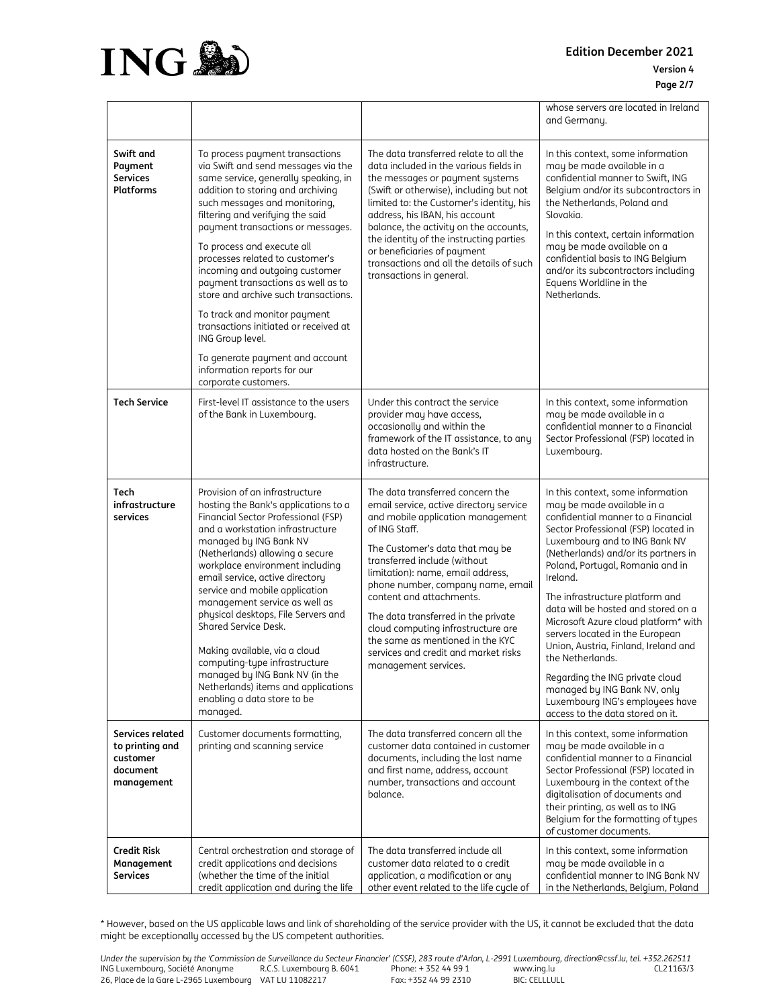

**Edition December 2021 Version 4**

|                                                                           |                                                                                                                                                                                                                                                                                                                                                                                                                                                                                                                                                                                                                                       |                                                                                                                                                                                                                                                                                                                                                                                                                                                                                             | whose servers are located in Ireland<br>and Germany.                                                                                                                                                                                                                                                                                                                                                                                                                                                                                                                                                                              |
|---------------------------------------------------------------------------|---------------------------------------------------------------------------------------------------------------------------------------------------------------------------------------------------------------------------------------------------------------------------------------------------------------------------------------------------------------------------------------------------------------------------------------------------------------------------------------------------------------------------------------------------------------------------------------------------------------------------------------|---------------------------------------------------------------------------------------------------------------------------------------------------------------------------------------------------------------------------------------------------------------------------------------------------------------------------------------------------------------------------------------------------------------------------------------------------------------------------------------------|-----------------------------------------------------------------------------------------------------------------------------------------------------------------------------------------------------------------------------------------------------------------------------------------------------------------------------------------------------------------------------------------------------------------------------------------------------------------------------------------------------------------------------------------------------------------------------------------------------------------------------------|
| Swift and<br>Payment<br><b>Services</b><br>Platforms                      | To process payment transactions<br>via Swift and send messages via the<br>same service, generally speaking, in<br>addition to storing and archiving<br>such messages and monitoring,<br>filtering and verifying the said<br>payment transactions or messages.<br>To process and execute all<br>processes related to customer's<br>incoming and outgoing customer<br>payment transactions as well as to<br>store and archive such transactions.<br>To track and monitor payment<br>transactions initiated or received at<br>ING Group level.<br>To generate payment and account<br>information reports for our<br>corporate customers. | The data transferred relate to all the<br>data included in the various fields in<br>the messages or payment systems<br>(Swift or otherwise), including but not<br>limited to: the Customer's identity, his<br>address, his IBAN, his account<br>balance, the activity on the accounts,<br>the identity of the instructing parties<br>or beneficiaries of payment<br>transactions and all the details of such<br>transactions in general.                                                    | In this context, some information<br>may be made available in a<br>confidential manner to Swift, ING<br>Belgium and/or its subcontractors in<br>the Netherlands, Poland and<br>Slovakia.<br>In this context, certain information<br>may be made available on a<br>confidential basis to ING Belgium<br>and/or its subcontractors including<br>Equens Worldline in the<br>Netherlands.                                                                                                                                                                                                                                             |
| <b>Tech Service</b>                                                       | First-level IT assistance to the users<br>of the Bank in Luxembourg.                                                                                                                                                                                                                                                                                                                                                                                                                                                                                                                                                                  | Under this contract the service<br>provider may have access,<br>occasionally and within the<br>framework of the IT assistance, to any<br>data hosted on the Bank's IT<br>infrastructure.                                                                                                                                                                                                                                                                                                    | In this context, some information<br>may be made available in a<br>confidential manner to a Financial<br>Sector Professional (FSP) located in<br>Luxembourg.                                                                                                                                                                                                                                                                                                                                                                                                                                                                      |
| Tech<br>infrastructure<br>services                                        | Provision of an infrastructure<br>hosting the Bank's applications to a<br>Financial Sector Professional (FSP)<br>and a workstation infrastructure<br>managed by ING Bank NV<br>(Netherlands) allowing a secure<br>workplace environment including<br>email service, active directory<br>service and mobile application<br>management service as well as<br>physical desktops, File Servers and<br>Shared Service Desk.<br>Making available, via a cloud<br>computing-type infrastructure<br>managed by ING Bank NV (in the<br>Netherlands) items and applications<br>enabling a data store to be<br>managed.                          | The data transferred concern the<br>email service, active directory service<br>and mobile application management<br>of ING Staff.<br>The Customer's data that may be<br>transferred include (without<br>limitation): name, email address,<br>phone number, company name, email<br>content and attachments.<br>The data transferred in the private<br>cloud computing infrastructure are<br>the same as mentioned in the KYC<br>services and credit and market risks<br>management services. | In this context, some information<br>may be made available in a<br>confidential manner to a Financial<br>Sector Professional (FSP) located in<br>Luxembourg and to ING Bank NV<br>(Netherlands) and/or its partners in<br>Poland, Portugal, Romania and in<br>Ireland.<br>The infrastructure platform and<br>data will be hosted and stored on a<br>Microsoft Azure cloud platform* with<br>servers located in the European<br>Union, Austria, Finland, Ireland and<br>the Netherlands.<br>Regarding the ING private cloud<br>managed by ING Bank NV, only<br>Luxembourg ING's employees have<br>access to the data stored on it. |
| Services related<br>to printing and<br>customer<br>document<br>management | Customer documents formatting,<br>printing and scanning service                                                                                                                                                                                                                                                                                                                                                                                                                                                                                                                                                                       | The data transferred concern all the<br>customer data contained in customer<br>documents, including the last name<br>and first name, address, account<br>number, transactions and account<br>balance.                                                                                                                                                                                                                                                                                       | In this context, some information<br>may be made available in a<br>confidential manner to a Financial<br>Sector Professional (FSP) located in<br>Luxembourg in the context of the<br>digitalisation of documents and<br>their printing, as well as to ING<br>Belgium for the formatting of types<br>of customer documents.                                                                                                                                                                                                                                                                                                        |
| <b>Credit Risk</b><br>Management<br><b>Services</b>                       | Central orchestration and storage of<br>credit applications and decisions<br>(whether the time of the initial<br>credit application and during the life                                                                                                                                                                                                                                                                                                                                                                                                                                                                               | The data transferred include all<br>customer data related to a credit<br>application, a modification or any<br>other event related to the life cycle of                                                                                                                                                                                                                                                                                                                                     | In this context, some information<br>may be made available in a<br>confidential manner to ING Bank NV<br>in the Netherlands, Belgium, Poland                                                                                                                                                                                                                                                                                                                                                                                                                                                                                      |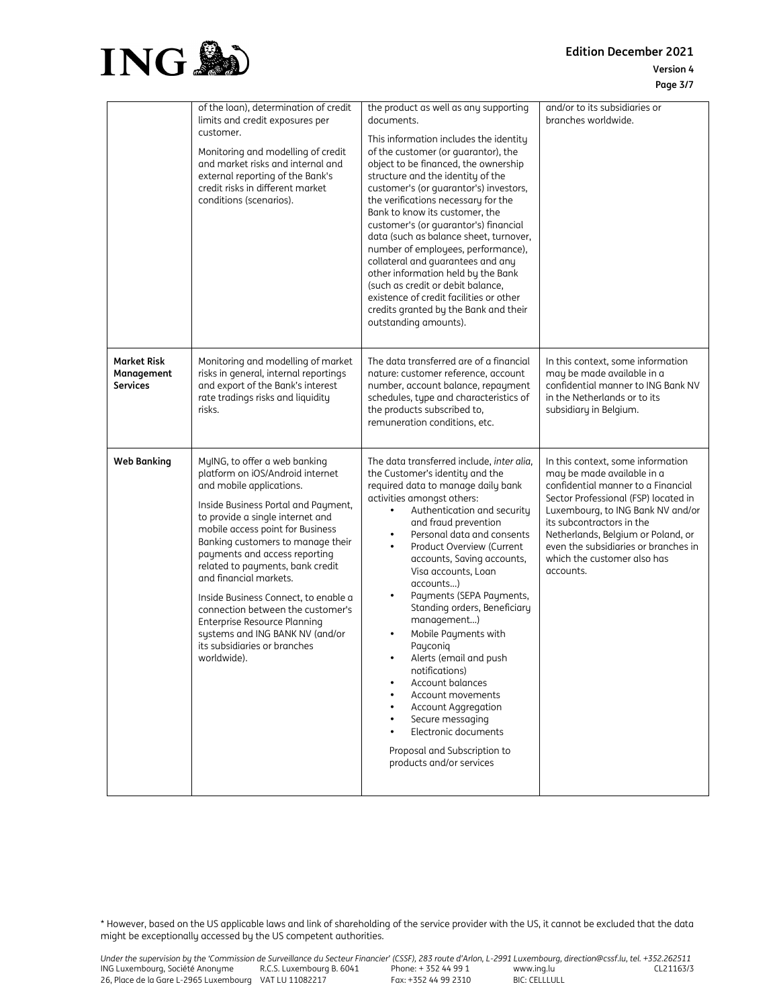**Edition December 2021 Version 4 Page 3/7**



|                                                     | of the loan), determination of credit<br>limits and credit exposures per<br>customer.<br>Monitoring and modelling of credit<br>and market risks and internal and<br>external reporting of the Bank's<br>credit risks in different market<br>conditions (scenarios).                                                                                                                                                                                                                                                                             | the product as well as any supporting<br>documents.<br>This information includes the identity<br>of the customer (or guarantor), the<br>object to be financed, the ownership<br>structure and the identity of the<br>customer's (or quarantor's) investors,<br>the verifications necessary for the<br>Bank to know its customer, the<br>customer's (or quarantor's) financial<br>data (such as balance sheet, turnover,<br>number of employees, performance),<br>collateral and guarantees and any<br>other information held by the Bank<br>(such as credit or debit balance,<br>existence of credit facilities or other<br>credits granted by the Bank and their<br>outstanding amounts).                                                               | and/or to its subsidiaries or<br>branches worldwide.                                                                                                                                                                                                                                                                                      |
|-----------------------------------------------------|-------------------------------------------------------------------------------------------------------------------------------------------------------------------------------------------------------------------------------------------------------------------------------------------------------------------------------------------------------------------------------------------------------------------------------------------------------------------------------------------------------------------------------------------------|----------------------------------------------------------------------------------------------------------------------------------------------------------------------------------------------------------------------------------------------------------------------------------------------------------------------------------------------------------------------------------------------------------------------------------------------------------------------------------------------------------------------------------------------------------------------------------------------------------------------------------------------------------------------------------------------------------------------------------------------------------|-------------------------------------------------------------------------------------------------------------------------------------------------------------------------------------------------------------------------------------------------------------------------------------------------------------------------------------------|
| <b>Market Risk</b><br>Management<br><b>Services</b> | Monitoring and modelling of market<br>risks in general, internal reportings<br>and export of the Bank's interest<br>rate tradings risks and liquidity<br>risks.                                                                                                                                                                                                                                                                                                                                                                                 | The data transferred are of a financial<br>nature: customer reference, account<br>number, account balance, repayment<br>schedules, type and characteristics of<br>the products subscribed to,<br>remuneration conditions, etc.                                                                                                                                                                                                                                                                                                                                                                                                                                                                                                                           | In this context, some information<br>may be made available in a<br>confidential manner to ING Bank NV<br>in the Netherlands or to its<br>subsidiary in Belgium.                                                                                                                                                                           |
| <b>Web Banking</b>                                  | MyING, to offer a web banking<br>platform on iOS/Android internet<br>and mobile applications.<br>Inside Business Portal and Payment,<br>to provide a single internet and<br>mobile access point for Business<br>Banking customers to manage their<br>payments and access reporting<br>related to payments, bank credit<br>and financial markets.<br>Inside Business Connect, to enable a<br>connection between the customer's<br>Enterprise Resource Planning<br>systems and ING BANK NV (and/or<br>its subsidiaries or branches<br>worldwide). | The data transferred include, inter alia,<br>the Customer's identity and the<br>required data to manage daily bank<br>activities amongst others:<br>Authentication and security<br>$\bullet$<br>and fraud prevention<br>Personal data and consents<br>٠<br>Product Overview (Current<br>$\bullet$<br>accounts, Saving accounts,<br>Visa accounts, Loan<br>accounts)<br>Payments (SEPA Payments,<br>٠<br>Standing orders, Beneficiary<br>management)<br>Mobile Payments with<br>٠<br>Payconiq<br>Alerts (email and push<br>٠<br>notifications)<br><b>Account balances</b><br>٠<br>Account movements<br>Account Aggregation<br>٠<br>Secure messaging<br>٠<br>Electronic documents<br>$\bullet$<br>Proposal and Subscription to<br>products and/or services | In this context, some information<br>may be made available in a<br>confidential manner to a Financial<br>Sector Professional (FSP) located in<br>Luxembourg, to ING Bank NV and/or<br>its subcontractors in the<br>Netherlands, Belgium or Poland, or<br>even the subsidiaries or branches in<br>which the customer also has<br>accounts. |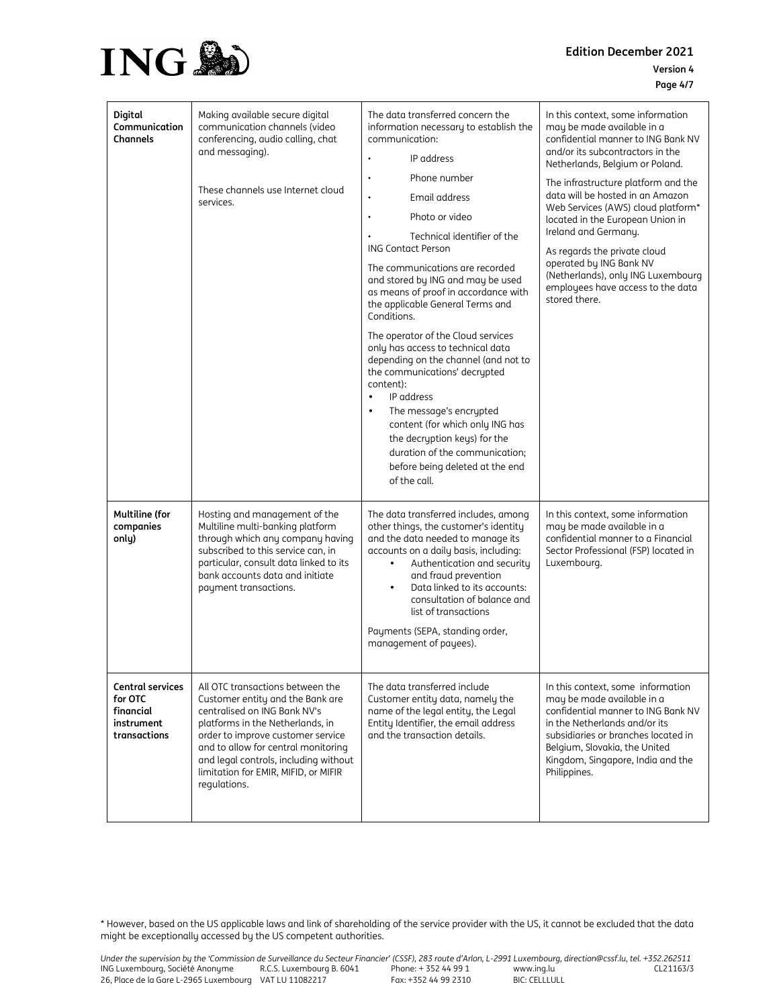

**Edition December 2021 Version 4 Page 4/7**

| Digital<br>Communication<br>Channels                                          | Making available secure digital<br>communication channels (video<br>conferencing, audio calling, chat<br>and messaging).<br>These channels use Internet cloud<br>services.                                                                                                                                            | The data transferred concern the<br>information necessary to establish the<br>communication:<br>IP address<br>Phone number<br>$\blacksquare$<br>Email address<br>$\blacksquare$<br>Photo or video<br>٠<br>Technical identifier of the<br><b>ING Contact Person</b><br>The communications are recorded<br>and stored by ING and may be used<br>as means of proof in accordance with<br>the applicable General Terms and<br>Conditions.<br>The operator of the Cloud services<br>only has access to technical data<br>depending on the channel (and not to<br>the communications' decrypted<br>content):<br>IP address<br>$\bullet$<br>The message's encrypted<br>$\bullet$<br>content (for which only ING has<br>the decryption keys) for the<br>duration of the communication;<br>before being deleted at the end<br>of the call. | In this context, some information<br>may be made available in a<br>confidential manner to ING Bank NV<br>and/or its subcontractors in the<br>Netherlands, Belgium or Poland.<br>The infrastructure platform and the<br>data will be hosted in an Amazon<br>Web Services (AWS) cloud platform*<br>located in the European Union in<br>Ireland and Germany.<br>As regards the private cloud<br>operated by ING Bank NV<br>(Netherlands), only ING Luxembourg<br>employees have access to the data<br>stored there. |
|-------------------------------------------------------------------------------|-----------------------------------------------------------------------------------------------------------------------------------------------------------------------------------------------------------------------------------------------------------------------------------------------------------------------|-----------------------------------------------------------------------------------------------------------------------------------------------------------------------------------------------------------------------------------------------------------------------------------------------------------------------------------------------------------------------------------------------------------------------------------------------------------------------------------------------------------------------------------------------------------------------------------------------------------------------------------------------------------------------------------------------------------------------------------------------------------------------------------------------------------------------------------|------------------------------------------------------------------------------------------------------------------------------------------------------------------------------------------------------------------------------------------------------------------------------------------------------------------------------------------------------------------------------------------------------------------------------------------------------------------------------------------------------------------|
| <b>Multiline (for</b><br>companies<br>only)                                   | Hosting and management of the<br>Multiline multi-banking platform<br>through which any company having<br>subscribed to this service can, in<br>particular, consult data linked to its<br>bank accounts data and initiate<br>payment transactions.                                                                     | The data transferred includes, among<br>other things, the customer's identity<br>and the data needed to manage its<br>accounts on a daily basis, including:<br>Authentication and security<br>$\bullet$<br>and fraud prevention<br>Data linked to its accounts:<br>consultation of balance and<br>list of transactions<br>Payments (SEPA, standing order,<br>management of payees).                                                                                                                                                                                                                                                                                                                                                                                                                                               | In this context, some information<br>may be made available in a<br>confidential manner to a Financial<br>Sector Professional (FSP) located in<br>Luxembourg.                                                                                                                                                                                                                                                                                                                                                     |
| <b>Central services</b><br>for OTC<br>financial<br>instrument<br>transactions | All OTC transactions between the<br>Customer entity and the Bank are<br>centralised on ING Bank NV's<br>platforms in the Netherlands, in<br>order to improve customer service<br>and to allow for central monitoring<br>and legal controls, including without<br>limitation for EMIR, MIFID, or MIFIR<br>regulations. | The data transferred include<br>Customer entity data, namely the<br>name of the legal entity, the Legal<br>Entity Identifier, the email address<br>and the transaction details.                                                                                                                                                                                                                                                                                                                                                                                                                                                                                                                                                                                                                                                   | In this context, some information<br>may be made available in a<br>confidential manner to ING Bank NV<br>in the Netherlands and/or its<br>subsidiaries or branches located in<br>Belgium, Slovakia, the United<br>Kingdom, Singapore, India and the<br>Philippines.                                                                                                                                                                                                                                              |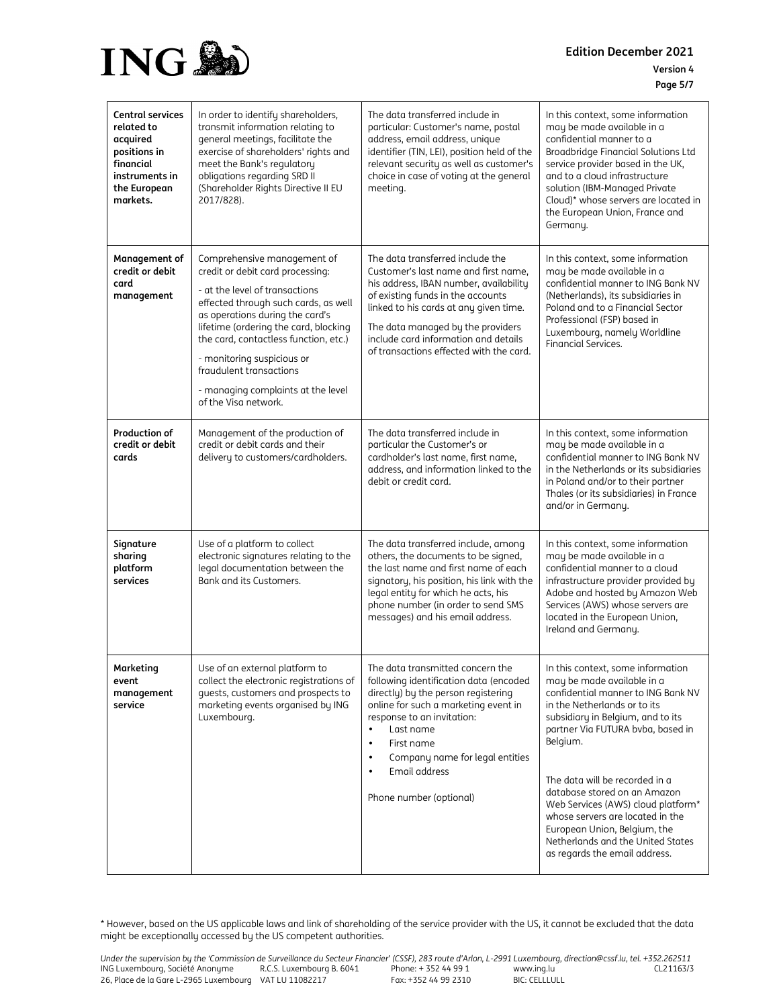

**Edition December 2021 Version 4 Page 5/7**

| <b>Central services</b><br>related to<br>acquired<br>positions in<br>financial<br>instruments in<br>the European<br>markets. | In order to identify shareholders,<br>transmit information relating to<br>general meetings, facilitate the<br>exercise of shareholders' rights and<br>meet the Bank's regulatory<br>obligations regarding SRD II<br>(Shareholder Rights Directive II EU<br>2017/828).                                                                                                                 | The data transferred include in<br>particular: Customer's name, postal<br>address, email address, unique<br>identifier (TIN, LEI), position held of the<br>relevant security as well as customer's<br>choice in case of voting at the general<br>meeting.                                                                                             | In this context, some information<br>may be made available in a<br>confidential manner to a<br>Broadbridge Financial Solutions Ltd<br>service provider based in the UK,<br>and to a cloud infrastructure<br>solution (IBM-Managed Private<br>Cloud)* whose servers are located in<br>the European Union, France and<br>Germany.                                                                                                                                               |
|------------------------------------------------------------------------------------------------------------------------------|---------------------------------------------------------------------------------------------------------------------------------------------------------------------------------------------------------------------------------------------------------------------------------------------------------------------------------------------------------------------------------------|-------------------------------------------------------------------------------------------------------------------------------------------------------------------------------------------------------------------------------------------------------------------------------------------------------------------------------------------------------|-------------------------------------------------------------------------------------------------------------------------------------------------------------------------------------------------------------------------------------------------------------------------------------------------------------------------------------------------------------------------------------------------------------------------------------------------------------------------------|
| Management of<br>credit or debit<br>card<br>management                                                                       | Comprehensive management of<br>credit or debit card processing:<br>- at the level of transactions<br>effected through such cards, as well<br>as operations during the card's<br>lifetime (ordering the card, blocking<br>the card, contactless function, etc.)<br>- monitoring suspicious or<br>fraudulent transactions<br>- managing complaints at the level<br>of the Visa network. | The data transferred include the<br>Customer's last name and first name,<br>his address, IBAN number, availability<br>of existing funds in the accounts<br>linked to his cards at any given time.<br>The data managed by the providers<br>include card information and details<br>of transactions effected with the card.                             | In this context, some information<br>may be made available in a<br>confidential manner to ING Bank NV<br>(Netherlands), its subsidiaries in<br>Poland and to a Financial Sector<br>Professional (FSP) based in<br>Luxembourg, namely Worldline<br>Financial Services.                                                                                                                                                                                                         |
| Production of<br>credit or debit<br>cards                                                                                    | Management of the production of<br>credit or debit cards and their<br>delivery to customers/cardholders.                                                                                                                                                                                                                                                                              | The data transferred include in<br>particular the Customer's or<br>cardholder's last name, first name,<br>address, and information linked to the<br>debit or credit card.                                                                                                                                                                             | In this context, some information<br>may be made available in a<br>confidential manner to ING Bank NV<br>in the Netherlands or its subsidiaries<br>in Poland and/or to their partner<br>Thales (or its subsidiaries) in France<br>and/or in Germany.                                                                                                                                                                                                                          |
| Signature<br>sharing<br>platform<br>services                                                                                 | Use of a platform to collect<br>electronic signatures relating to the<br>legal documentation between the<br>Bank and its Customers.                                                                                                                                                                                                                                                   | The data transferred include, among<br>others, the documents to be signed,<br>the last name and first name of each<br>signatory, his position, his link with the<br>legal entity for which he acts, his<br>phone number (in order to send SMS<br>messages) and his email address.                                                                     | In this context, some information<br>may be made available in a<br>confidential manner to a cloud<br>infrastructure provider provided by<br>Adobe and hosted by Amazon Web<br>Services (AWS) whose servers are<br>located in the European Union,<br>Ireland and Germany.                                                                                                                                                                                                      |
| Marketing<br>event<br>management<br>service                                                                                  | Use of an external platform to<br>collect the electronic registrations of<br>quests, customers and prospects to<br>marketing events organised by ING<br>Luxembourg.                                                                                                                                                                                                                   | The data transmitted concern the<br>following identification data (encoded<br>directly) by the person registering<br>online for such a marketing event in<br>response to an invitation:<br>Last name<br>$\bullet$<br>First name<br>$\bullet$<br>Company name for legal entities<br>$\bullet$<br>Email address<br>$\bullet$<br>Phone number (optional) | In this context, some information<br>may be made available in a<br>confidential manner to ING Bank NV<br>in the Netherlands or to its<br>subsidiary in Belgium, and to its<br>partner Via FUTURA bvba, based in<br>Belgium.<br>The data will be recorded in a<br>database stored on an Amazon<br>Web Services (AWS) cloud platform*<br>whose servers are located in the<br>European Union, Belgium, the<br>Netherlands and the United States<br>as regards the email address. |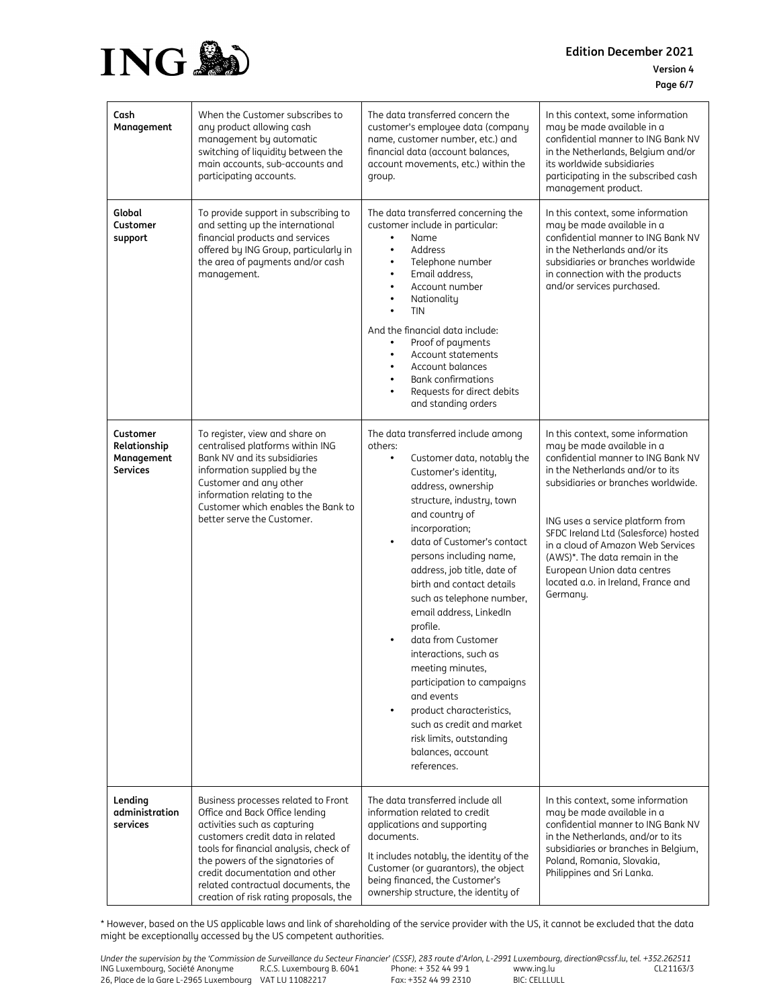

| Cash<br>Management                                        | When the Customer subscribes to<br>any product allowing cash<br>management by automatic<br>switching of liquidity between the<br>main accounts, sub-accounts and<br>participating accounts.                                                                                                                                               | The data transferred concern the<br>customer's employee data (company<br>name, customer number, etc.) and<br>financial data (account balances,<br>account movements, etc.) within the<br>group.                                                                                                                                                                                                                                                                                                                                                                                                                                                                    | In this context, some information<br>may be made available in a<br>confidential manner to ING Bank NV<br>in the Netherlands, Belgium and/or<br>its worldwide subsidiaries<br>participating in the subscribed cash<br>management product.                                                                                                                                                                              |
|-----------------------------------------------------------|-------------------------------------------------------------------------------------------------------------------------------------------------------------------------------------------------------------------------------------------------------------------------------------------------------------------------------------------|--------------------------------------------------------------------------------------------------------------------------------------------------------------------------------------------------------------------------------------------------------------------------------------------------------------------------------------------------------------------------------------------------------------------------------------------------------------------------------------------------------------------------------------------------------------------------------------------------------------------------------------------------------------------|-----------------------------------------------------------------------------------------------------------------------------------------------------------------------------------------------------------------------------------------------------------------------------------------------------------------------------------------------------------------------------------------------------------------------|
| Global<br>Customer<br>support                             | To provide support in subscribing to<br>and setting up the international<br>financial products and services<br>offered by ING Group, particularly in<br>the area of payments and/or cash<br>management.                                                                                                                                   | The data transferred concerning the<br>customer include in particular:<br>Name<br>$\bullet$<br>Address<br>$\bullet$<br>Telephone number<br>$\bullet$<br>Email address.<br>$\bullet$<br>Account number<br>$\bullet$<br>Nationality<br>٠<br><b>TIN</b><br>And the financial data include:<br>Proof of payments<br>$\bullet$<br>Account statements<br>$\bullet$<br>Account balances<br>$\bullet$<br><b>Bank confirmations</b><br>Requests for direct debits<br>and standing orders                                                                                                                                                                                    | In this context, some information<br>may be made available in a<br>confidential manner to ING Bank NV<br>in the Netherlands and/or its<br>subsidiaries or branches worldwide<br>in connection with the products<br>and/or services purchased.                                                                                                                                                                         |
| Customer<br>Relationship<br>Management<br><b>Services</b> | To register, view and share on<br>centralised platforms within ING<br>Bank NV and its subsidiaries<br>information supplied by the<br>Customer and any other<br>information relating to the<br>Customer which enables the Bank to<br>better serve the Customer.                                                                            | The data transferred include among<br>others:<br>Customer data, notably the<br>$\bullet$<br>Customer's identity,<br>address, ownership<br>structure, industry, town<br>and country of<br>incorporation;<br>data of Customer's contact<br>$\bullet$<br>persons including name,<br>address, job title, date of<br>birth and contact details<br>such as telephone number,<br>email address, LinkedIn<br>profile.<br>data from Customer<br>interactions, such as<br>meeting minutes,<br>participation to campaigns<br>and events<br>product characteristics,<br>$\bullet$<br>such as credit and market<br>risk limits, outstanding<br>balances, account<br>references. | In this context, some information<br>may be made available in a<br>confidential manner to ING Bank NV<br>in the Netherlands and/or to its<br>subsidiaries or branches worldwide.<br>ING uses a service platform from<br>SFDC Ireland Ltd (Salesforce) hosted<br>in a cloud of Amazon Web Services<br>(AWS)*. The data remain in the<br>European Union data centres<br>located a.o. in Ireland, France and<br>Germany. |
| Lending<br>administration<br>services                     | Business processes related to Front<br>Office and Back Office lending<br>activities such as capturing<br>customers credit data in related<br>tools for financial analysis, check of<br>the powers of the signatories of<br>credit documentation and other<br>related contractual documents, the<br>creation of risk rating proposals, the | The data transferred include all<br>information related to credit<br>applications and supporting<br>documents.<br>It includes notably, the identity of the<br>Customer (or guarantors), the object<br>being financed, the Customer's<br>ownership structure, the identity of                                                                                                                                                                                                                                                                                                                                                                                       | In this context, some information<br>may be made available in a<br>confidential manner to ING Bank NV<br>in the Netherlands, and/or to its<br>subsidiaries or branches in Belgium,<br>Poland, Romania, Slovakia,<br>Philippines and Sri Lanka.                                                                                                                                                                        |